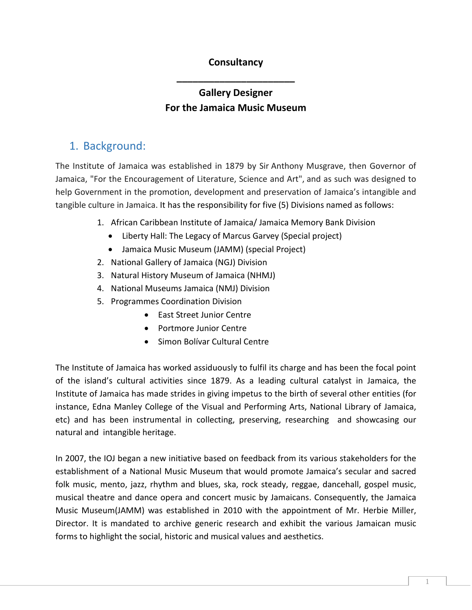#### **Consultancy**

**\_\_\_\_\_\_\_\_\_\_\_\_\_\_\_\_\_\_\_\_\_\_**

## **Gallery Designer For the Jamaica Music Museum**

#### 1. Background:

The Institute of Jamaica was established in 1879 by Sir Anthony Musgrave, then Governor of Jamaica, "For the Encouragement of Literature, Science and Art", and as such was designed to help Government in the promotion, development and preservation of Jamaica's intangible and tangible culture in Jamaica. It has the responsibility for five (5) Divisions named as follows:

- 1. African Caribbean Institute of Jamaica/ Jamaica Memory Bank Division
	- Liberty Hall: The Legacy of Marcus Garvey (Special project)
	- Jamaica Music Museum (JAMM) (special Project)
- 2. National Gallery of Jamaica (NGJ) Division
- 3. Natural History Museum of Jamaica (NHMJ)
- 4. National Museums Jamaica (NMJ) Division
- 5. Programmes Coordination Division
	- East Street Junior Centre
	- Portmore Junior Centre
	- Simon Bolívar Cultural Centre

The Institute of Jamaica has worked assiduously to fulfil its charge and has been the focal point of the island's cultural activities since 1879. As a leading cultural catalyst in Jamaica, the Institute of Jamaica has made strides in giving impetus to the birth of several other entities (for instance, Edna Manley College of the Visual and Performing Arts, National Library of Jamaica, etc) and has been instrumental in collecting, preserving, researching and showcasing our natural and intangible heritage.

In 2007, the IOJ began a new initiative based on feedback from its various stakeholders for the establishment of a National Music Museum that would promote Jamaica's secular and sacred folk music, mento, jazz, rhythm and blues, ska, rock steady, reggae, dancehall, gospel music, musical theatre and dance opera and concert music by Jamaicans. Consequently, the Jamaica Music Museum(JAMM) was established in 2010 with the appointment of Mr. Herbie Miller, Director. It is mandated to archive generic research and exhibit the various Jamaican music forms to highlight the social, historic and musical values and aesthetics.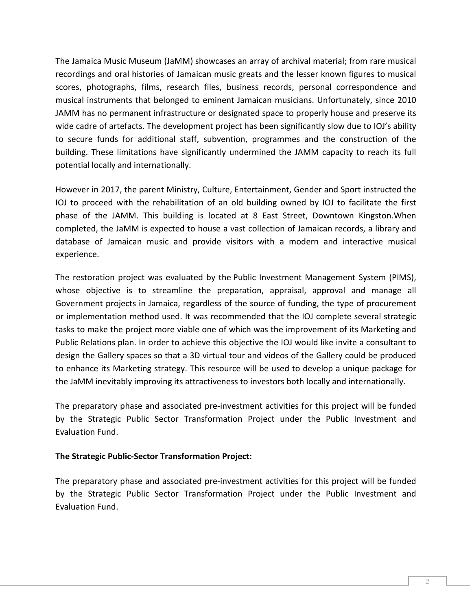The Jamaica Music Museum (JaMM) showcases an array of archival material; from rare musical recordings and oral histories of Jamaican music greats and the lesser known figures to musical scores, photographs, films, research files, business records, personal correspondence and musical instruments that belonged to eminent Jamaican musicians. Unfortunately, since 2010 JAMM has no permanent infrastructure or designated space to properly house and preserve its wide cadre of artefacts. The development project has been significantly slow due to IOJ's ability to secure funds for additional staff, subvention, programmes and the construction of the building. These limitations have significantly undermined the JAMM capacity to reach its full potential locally and internationally.

However in 2017, the parent Ministry, Culture, Entertainment, Gender and Sport instructed the IOJ to proceed with the rehabilitation of an old building owned by IOJ to facilitate the first phase of the JAMM. This building is located at 8 East Street, Downtown Kingston.When completed, the JaMM is expected to house a vast collection of Jamaican records, a library and database of Jamaican music and provide visitors with a modern and interactive musical experience.

The restoration project was evaluated by the Public Investment Management System (PIMS), whose objective is to streamline the preparation, appraisal, approval and manage all Government projects in Jamaica, regardless of the source of funding, the type of procurement or implementation method used. It was recommended that the IOJ complete several strategic tasks to make the project more viable one of which was the improvement of its Marketing and Public Relations plan. In order to achieve this objective the IOJ would like invite a consultant to design the Gallery spaces so that a 3D virtual tour and videos of the Gallery could be produced to enhance its Marketing strategy. This resource will be used to develop a unique package for the JaMM inevitably improving its attractiveness to investors both locally and internationally.

The preparatory phase and associated pre-investment activities for this project will be funded by the Strategic Public Sector Transformation Project under the Public Investment and Evaluation Fund.

#### **The Strategic Public-Sector Transformation Project:**

The preparatory phase and associated pre-investment activities for this project will be funded by the Strategic Public Sector Transformation Project under the Public Investment and Evaluation Fund.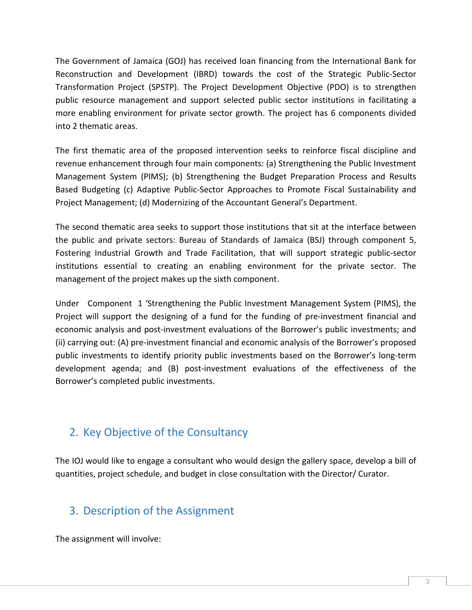The Government of Jamaica (GOJ) has received loan financing from the International Bank for Reconstruction and Development (IBRD) towards the cost of the Strategic Public-Sector Transformation Project (SPSTP). The Project Development Objective (PDO) is to strengthen public resource management and support selected public sector institutions in facilitating a more enabling environment for private sector growth. The project has 6 components divided into 2 thematic areas.

The first thematic area of the proposed intervention seeks to reinforce fiscal discipline and revenue enhancement through four main components: (a) Strengthening the Public Investment Management System (PIMS); (b) Strengthening the Budget Preparation Process and Results Based Budgeting (c) Adaptive Public-Sector Approaches to Promote Fiscal Sustainability and Project Management; (d) Modernizing of the Accountant General's Department.

The second thematic area seeks to support those institutions that sit at the interface between the public and private sectors: Bureau of Standards of Jamaica (BSJ) through component 5, Fostering Industrial Growth and Trade Facilitation, that will support strategic public-sector institutions essential to creating an enabling environment for the private sector. The management of the project makes up the sixth component.

Under Component 1 'Strengthening the Public Investment Management System (PIMS), the Project will support the designing of a fund for the funding of pre-investment financial and economic analysis and post-investment evaluations of the Borrower's public investments; and (ii) carrying out: (A) pre-investment financial and economic analysis of the Borrower's proposed public investments to identify priority public investments based on the Borrower's long-term development agenda; and (B) post-investment evaluations of the effectiveness of the Borrower's completed public investments.

## 2. Key Objective of the Consultancy

The IOJ would like to engage a consultant who would design the gallery space, develop a bill of quantities, project schedule, and budget in close consultation with the Director/ Curator.

### 3. Description of the Assignment

The assignment will involve: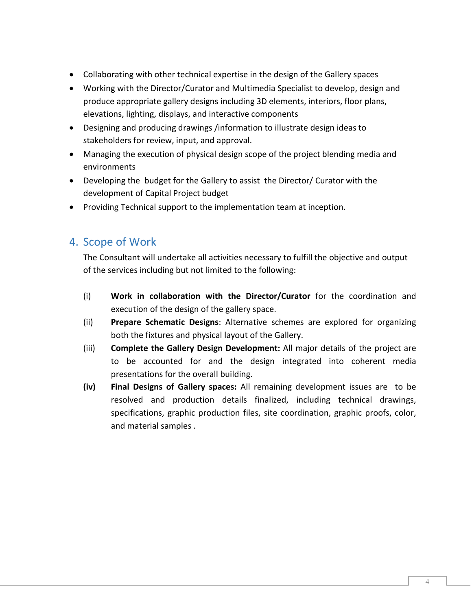- Collaborating with other technical expertise in the design of the Gallery spaces
- Working with the Director/Curator and Multimedia Specialist to develop, design and produce appropriate gallery designs including 3D elements, interiors, floor plans, elevations, lighting, displays, and interactive components
- Designing and producing drawings /information to illustrate design ideas to stakeholders for review, input, and approval.
- Managing the execution of physical design scope of the project blending media and environments
- Developing the budget for the Gallery to assist the Director/ Curator with the development of Capital Project budget
- Providing Technical support to the implementation team at inception.

#### 4. Scope of Work

The Consultant will undertake all activities necessary to fulfill the objective and output of the services including but not limited to the following:

- (i) **Work in collaboration with the Director/Curator** for the coordination and execution of the design of the gallery space.
- (ii) **Prepare Schematic Designs**: Alternative schemes are explored for organizing both the fixtures and physical layout of the Gallery.
- (iii) **Complete the Gallery Design Development:** All major details of the project are to be accounted for and the design integrated into coherent media presentations for the overall building.
- **(iv) Final Designs of Gallery spaces:** All remaining development issues are to be resolved and production details finalized, including technical drawings, specifications, graphic production files, site coordination, graphic proofs, color, and material samples .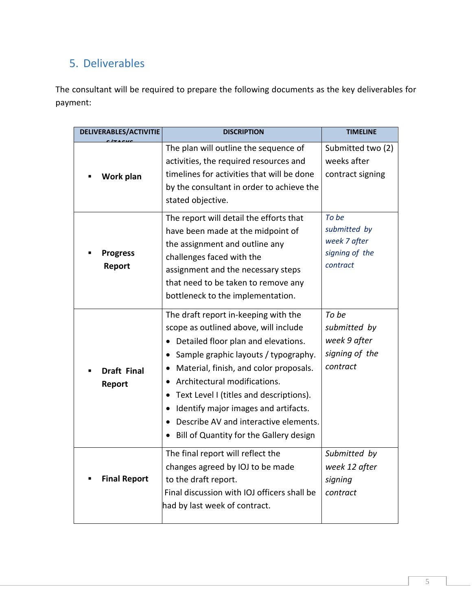## 5. Deliverables

The consultant will be required to prepare the following documents as the key deliverables for payment:

| <b>DELIVERABLES/ACTIVITIE</b> | <b>DISCRIPTION</b>                                  | <b>TIMELINE</b>   |
|-------------------------------|-----------------------------------------------------|-------------------|
| Work plan                     | The plan will outline the sequence of               | Submitted two (2) |
|                               | activities, the required resources and              | weeks after       |
|                               | timelines for activities that will be done          | contract signing  |
|                               | by the consultant in order to achieve the           |                   |
|                               | stated objective.                                   |                   |
| <b>Progress</b><br>Report     | The report will detail the efforts that             | To be             |
|                               | have been made at the midpoint of                   | submitted by      |
|                               | the assignment and outline any                      | week 7 after      |
|                               | challenges faced with the                           | signing of the    |
|                               | assignment and the necessary steps                  | contract          |
|                               | that need to be taken to remove any                 |                   |
|                               | bottleneck to the implementation.                   |                   |
| <b>Draft Final</b><br>Report  | The draft report in-keeping with the                | To be             |
|                               | scope as outlined above, will include               | submitted by      |
|                               | Detailed floor plan and elevations.                 | week 9 after      |
|                               | Sample graphic layouts / typography.                | signing of the    |
|                               | Material, finish, and color proposals.<br>$\bullet$ | contract          |
|                               | Architectural modifications.                        |                   |
|                               | Text Level I (titles and descriptions).             |                   |
|                               | Identify major images and artifacts.                |                   |
|                               | Describe AV and interactive elements.               |                   |
|                               | Bill of Quantity for the Gallery design             |                   |
| <b>Final Report</b>           | The final report will reflect the                   | Submitted by      |
|                               | changes agreed by IOJ to be made                    | week 12 after     |
|                               | to the draft report.                                | signing           |
|                               | Final discussion with IOJ officers shall be         | contract          |
|                               | had by last week of contract.                       |                   |
|                               |                                                     |                   |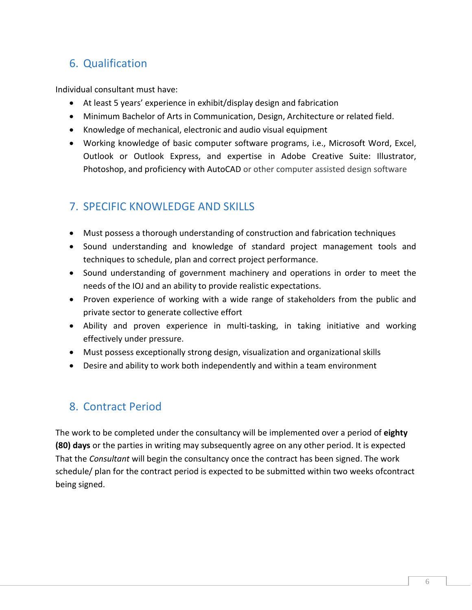# 6. Qualification

Individual consultant must have:

- At least 5 years' experience in exhibit/display design and fabrication
- Minimum Bachelor of Arts in Communication, Design, Architecture or related field.
- Knowledge of mechanical, electronic and audio visual equipment
- Working knowledge of basic computer software programs, i.e., Microsoft Word, Excel, Outlook or Outlook Express, and expertise in Adobe Creative Suite: Illustrator, Photoshop, and proficiency with AutoCAD or other computer assisted design software

## 7. SPECIFIC KNOWLEDGE AND SKILLS

- Must possess a thorough understanding of construction and fabrication techniques
- Sound understanding and knowledge of standard project management tools and techniques to schedule, plan and correct project performance.
- Sound understanding of government machinery and operations in order to meet the needs of the IOJ and an ability to provide realistic expectations.
- Proven experience of working with a wide range of stakeholders from the public and private sector to generate collective effort
- Ability and proven experience in multi-tasking, in taking initiative and working effectively under pressure.
- Must possess exceptionally strong design, visualization and organizational skills
- Desire and ability to work both independently and within a team environment

### 8. Contract Period

The work to be completed under the consultancy will be implemented over a period of **eighty (80) days** or the parties in writing may subsequently agree on any other period. It is expected That the *Consultant* will begin the consultancy once the contract has been signed. The work schedule/ plan for the contract period is expected to be submitted within two weeks ofcontract being signed.